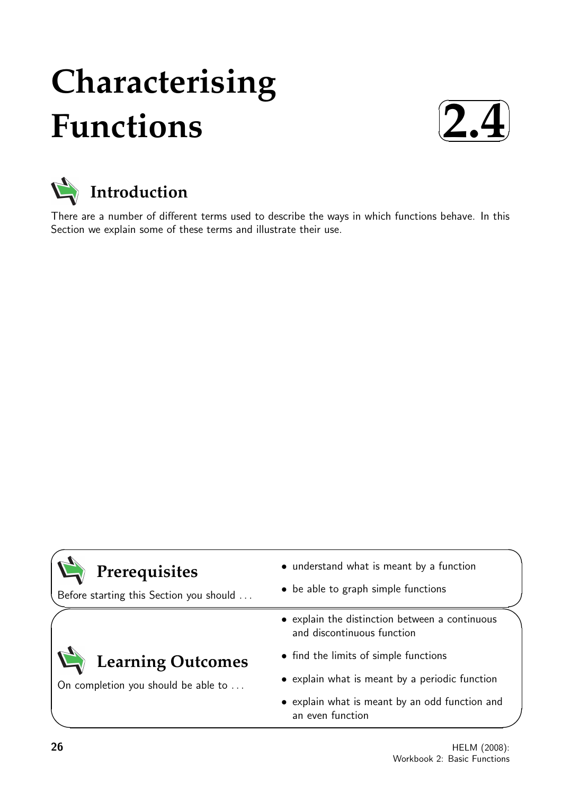# **Characterising Functions**

✓ **2.4**✑ ✒



There are a number of different terms used to describe the ways in which functions behave. In this Section we explain some of these terms and illustrate their use.

| Prerequisites<br>Before starting this Section you should        | • understand what is meant by a function<br>• be able to graph simple functions |
|-----------------------------------------------------------------|---------------------------------------------------------------------------------|
| <b>Learning Outcomes</b><br>On completion you should be able to | • explain the distinction between a continuous<br>and discontinuous function    |
|                                                                 | • find the limits of simple functions                                           |
|                                                                 | • explain what is meant by a periodic function                                  |
|                                                                 | • explain what is meant by an odd function and<br>an even function              |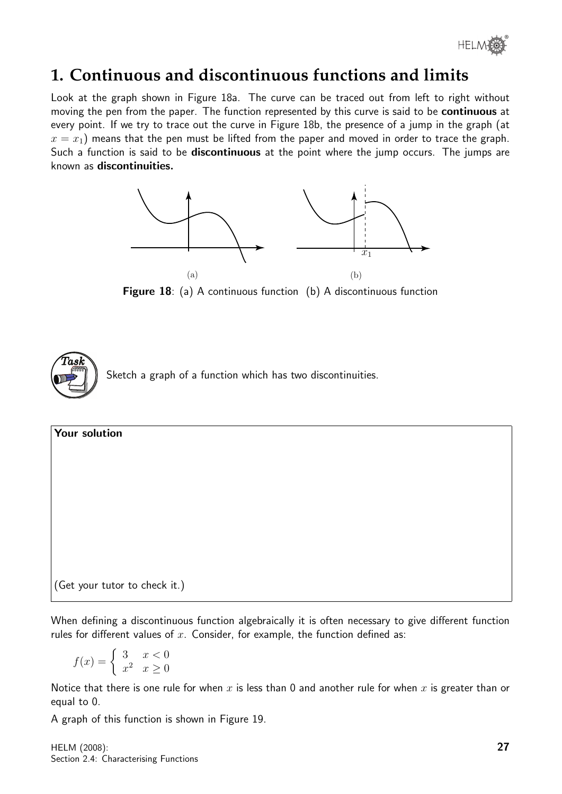

# **1. Continuous and discontinuous functions and limits**

Look at the graph shown in Figure 18a. The curve can be traced out from left to right without moving the pen from the paper. The function represented by this curve is said to be continuous at every point. If we try to trace out the curve in Figure 18b, the presence of a jump in the graph (at  $x = x_1$ ) means that the pen must be lifted from the paper and moved in order to trace the graph. Such a function is said to be **discontinuous** at the point where the jump occurs. The jumps are known as discontinuities.



Figure 18: (a) A continuous function (b) A discontinuous function



Your solution (Get your tutor to check it.)

When defining a discontinuous function algebraically it is often necessary to give different function rules for different values of  $x$ . Consider, for example, the function defined as:

$$
f(x) = \begin{cases} 3 & x < 0 \\ x^2 & x \ge 0 \end{cases}
$$

Notice that there is one rule for when x is less than 0 and another rule for when x is greater than or equal to 0.

A graph of this function is shown in Figure 19.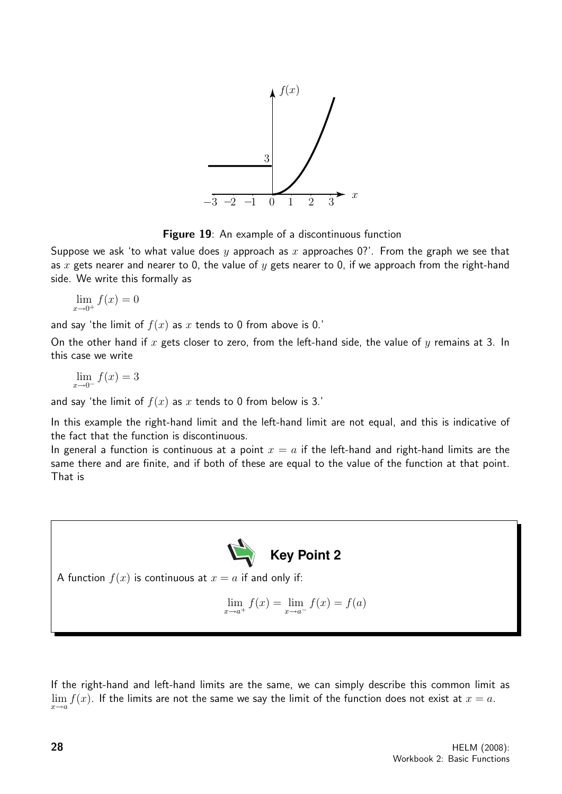

Figure 19: An example of a discontinuous function

Suppose we ask 'to what value does y approach as x approaches 0?'. From the graph we see that as x gets nearer and nearer to 0, the value of y gets nearer to 0, if we approach from the right-hand side. We write this formally as

 $\lim_{x \to 0^+} f(x) = 0$ 

and say 'the limit of  $f(x)$  as x tends to 0 from above is 0.'

On the other hand if  $x$  gets closer to zero, from the left-hand side, the value of  $y$  remains at 3. In this case we write

$$
\lim_{x \to 0^-} f(x) = 3
$$

and say 'the limit of  $f(x)$  as x tends to 0 from below is 3.'

In this example the right-hand limit and the left-hand limit are not equal, and this is indicative of the fact that the function is discontinuous.

In general a function is continuous at a point  $x = a$  if the left-hand and right-hand limits are the same there and are finite, and if both of these are equal to the value of the function at that point. That is



A function  $f(x)$  is continuous at  $x = a$  if and only if:

$$
\lim_{x \to a^{+}} f(x) = \lim_{x \to a^{-}} f(x) = f(a)
$$

If the right-hand and left-hand limits are the same, we can simply describe this common limit as  $\lim_{x\to a} f(x)$ . If the limits are not the same we say the limit of the function does not exist at  $x = a$ .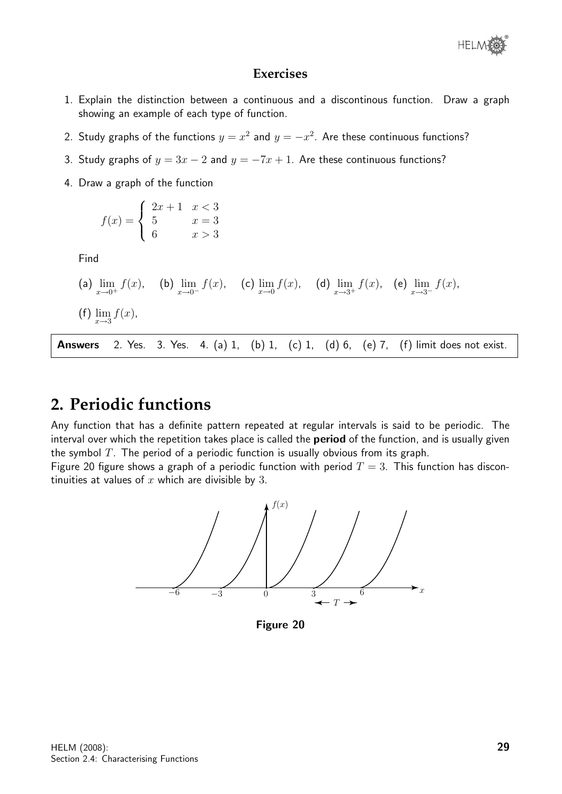

### **Exercises**

- 1. Explain the distinction between a continuous and a discontinous function. Draw a graph showing an example of each type of function.
- 2. Study graphs of the functions  $y = x^2$  and  $y = -x^2$ . Are these continuous functions?
- 3. Study graphs of  $y = 3x 2$  and  $y = -7x + 1$ . Are these continuous functions?
- 4. Draw a graph of the function

$$
f(x) = \begin{cases} 2x + 1 & x < 3 \\ 5 & x = 3 \\ 6 & x > 3 \end{cases}
$$

Find

(a) 
$$
\lim_{x \to 0^+} f(x)
$$
, (b)  $\lim_{x \to 0^-} f(x)$ , (c)  $\lim_{x \to 0} f(x)$ , (d)  $\lim_{x \to 3^+} f(x)$ , (e)  $\lim_{x \to 3^-} f(x)$ ,  
(f)  $\lim_{x \to 3} f(x)$ ,

Answers 2. Yes. 3. Yes. 4. (a) 1, (b) 1, (c) 1, (d) 6, (e) 7, (f) limit does not exist.

## **2. Periodic functions**

Any function that has a definite pattern repeated at regular intervals is said to be periodic. The interval over which the repetition takes place is called the **period** of the function, and is usually given the symbol  $T$ . The period of a periodic function is usually obvious from its graph.

Figure 20 figure shows a graph of a periodic function with period  $T = 3$ . This function has discontinuities at values of  $x$  which are divisible by 3.



Figure 20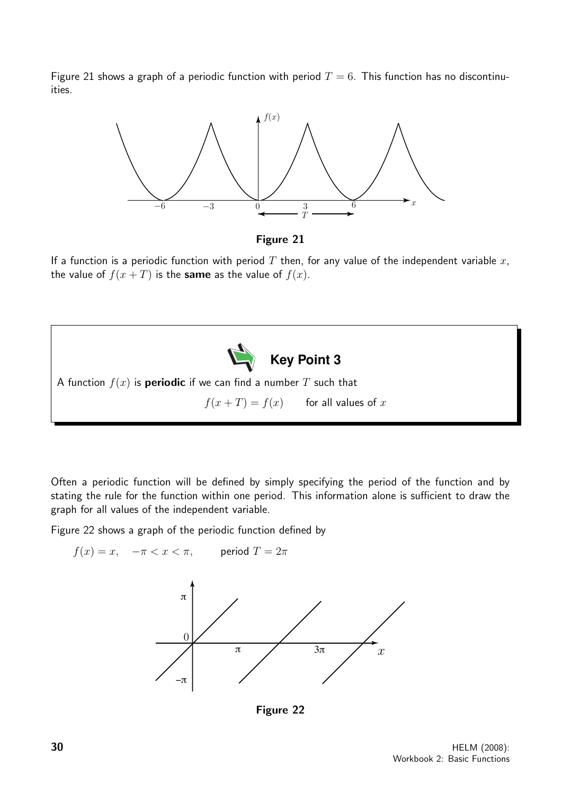Figure 21 shows a graph of a periodic function with period  $T = 6$ . This function has no discontinuities.





If a function is a periodic function with period T then, for any value of the independent variable  $x$ , the value of  $f(x+T)$  is the same as the value of  $f(x)$ .



Often a periodic function will be defined by simply specifying the period of the function and by stating the rule for the function within one period. This information alone is sufficient to draw the graph for all values of the independent variable.

Figure 22 shows a graph of the periodic function defined by



Figure 22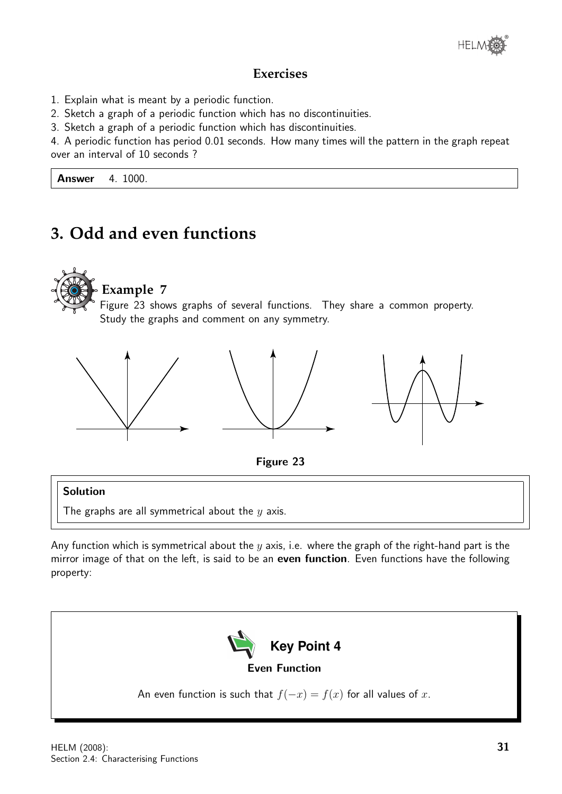

## **Exercises**

- 1. Explain what is meant by a periodic function.
- 2. Sketch a graph of a periodic function which has no discontinuities.
- 3. Sketch a graph of a periodic function which has discontinuities.

4. A periodic function has period 0.01 seconds. How many times will the pattern in the graph repeat over an interval of 10 seconds ?

**Answer** 4. 1000.

# **3. Odd and even functions**







## Solution

The graphs are all symmetrical about the  $y$  axis.

Any function which is symmetrical about the  $y$  axis, i.e. where the graph of the right-hand part is the mirror image of that on the left, is said to be an even function. Even functions have the following property:

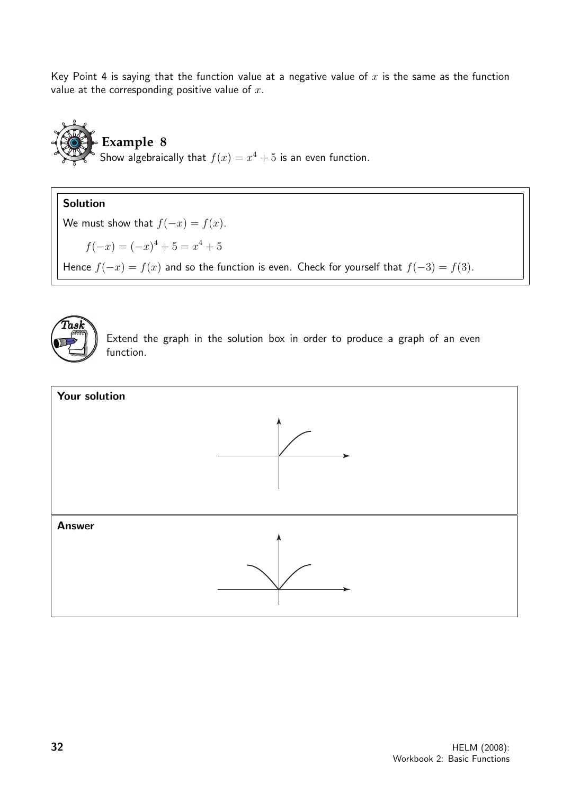Key Point 4 is saying that the function value at a negative value of  $x$  is the same as the function value at the corresponding positive value of  $x$ .



Solution We must show that  $f(-x) = f(x)$ .  $f(-x) = (-x)^4 + 5 = x^4 + 5$ Hence  $f(-x) = f(x)$  and so the function is even. Check for yourself that  $f(-3) = f(3)$ .



Extend the graph in the solution box in order to produce a graph of an even function.

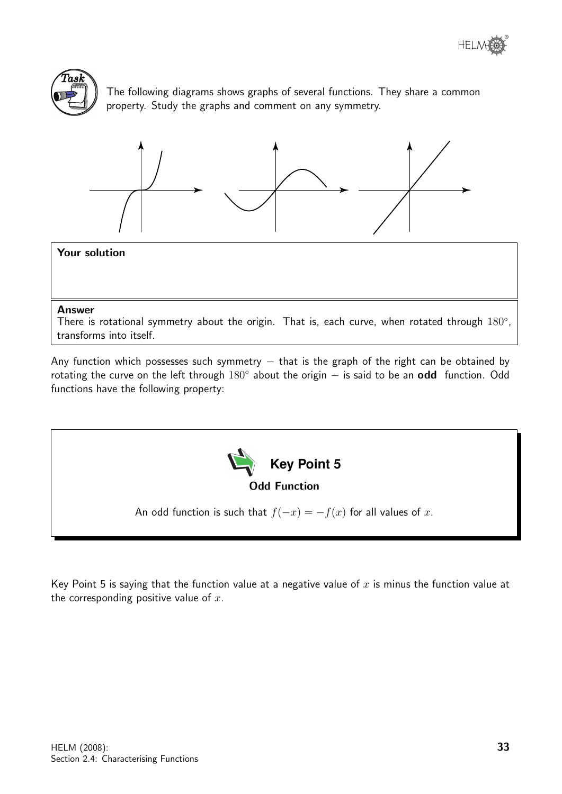



The following diagrams shows graphs of several functions. They share a common property. Study the graphs and comment on any symmetry.



#### Your solution

#### Answer

There is rotational symmetry about the origin. That is, each curve, when rotated through  $180^\circ$ , transforms into itself.

Any function which possesses such symmetry  $-$  that is the graph of the right can be obtained by rotating the curve on the left through 180° about the origin – is said to be an odd function. Odd functions have the following property:



Key Point 5 is saying that the function value at a negative value of  $x$  is minus the function value at the corresponding positive value of  $x$ .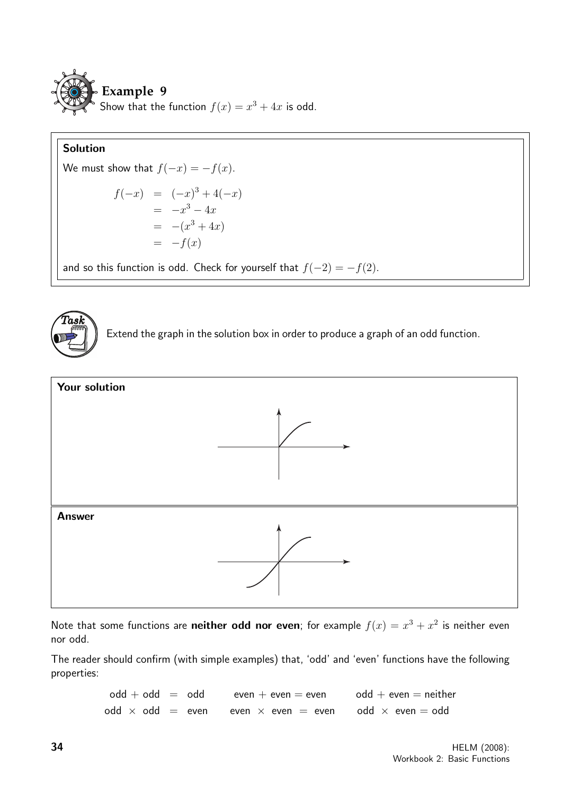

### Solution

We must show that  $f(-x) = -f(x)$ .

$$
f(-x) = (-x)^3 + 4(-x) \n= -x^3 - 4x \n= -(x^3 + 4x) \n= -f(x)
$$

and so this function is odd. Check for yourself that  $f(-2) = -f(2)$ .



Extend the graph in the solution box in order to produce a graph of an odd function.



Note that some functions are **neither odd nor even**; for example  $f(x) = x^3 + x^2$  is neither even nor odd.

The reader should confirm (with simple examples) that, 'odd' and 'even' functions have the following properties:

> $odd + odd = odd$  even  $+$  even  $=$  even  $odd + even = neither$ odd  $\times$  odd = even even  $\times$  even = even odd  $\times$  even = odd